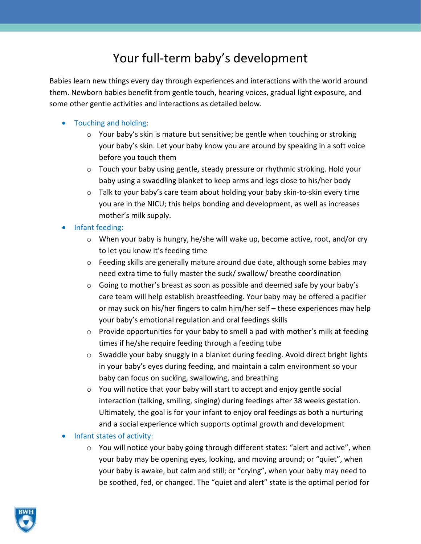# Your full-term baby's development

Babies learn new things every day through experiences and interactions with the world around them. Newborn babies benefit from gentle touch, hearing voices, gradual light exposure, and some other gentle activities and interactions as detailed below.

## • Touching and holding:

- $\circ$  Your baby's skin is mature but sensitive; be gentle when touching or stroking your baby's skin. Let your baby know you are around by speaking in a soft voice before you touch them
- $\circ$  Touch your baby using gentle, steady pressure or rhythmic stroking. Hold your baby using a swaddling blanket to keep arms and legs close to his/her body
- o Talk to your baby's care team about holding your baby skin-to-skin every time you are in the NICU; this helps bonding and development, as well as increases mother's milk supply.

### • Infant feeding:

- $\circ$  When your baby is hungry, he/she will wake up, become active, root, and/or cry to let you know it's feeding time
- $\circ$  Feeding skills are generally mature around due date, although some babies may need extra time to fully master the suck/ swallow/ breathe coordination
- o Going to mother's breast as soon as possible and deemed safe by your baby's care team will help establish breastfeeding. Your baby may be offered a pacifier or may suck on his/her fingers to calm him/her self – these experiences may help your baby's emotional regulation and oral feedings skills
- o Provide opportunities for your baby to smell a pad with mother's milk at feeding times if he/she require feeding through a feeding tube
- o Swaddle your baby snuggly in a blanket during feeding. Avoid direct bright lights in your baby's eyes during feeding, and maintain a calm environment so your baby can focus on sucking, swallowing, and breathing
- o You will notice that your baby will start to accept and enjoy gentle social interaction (talking, smiling, singing) during feedings after 38 weeks gestation. Ultimately, the goal is for your infant to enjoy oral feedings as both a nurturing and a social experience which supports optimal growth and development

### • Infant states of activity:

 $\circ$  You will notice your baby going through different states: "alert and active", when your baby may be opening eyes, looking, and moving around; or "quiet", when your baby is awake, but calm and still; or "crying", when your baby may need to be soothed, fed, or changed. The "quiet and alert" state is the optimal period for